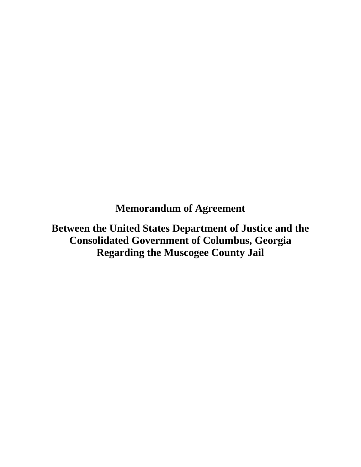**Memorandum of Agreement** 

 **Consolidated Government of Columbus, Georgia Between the United States Department of Justice and the Regarding the Muscogee County Jail**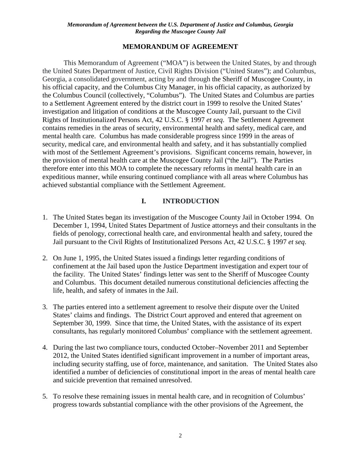### **MEMORANDUM OF AGREEMENT**

 the United States Department of Justice, Civil Rights Division ("United States"); and Columbus, his official capacity, and the Columbus City Manager, in his official capacity, as authorized by the Columbus Council (collectively, "Columbus"). The United States and Columbus are parties Rights of Institutionalized Persons Act, 42 U.S.C. § 1997 *et seq*. The Settlement Agreement mental health care. Columbus has made considerable progress since 1999 in the areas of therefore enter into this MOA to complete the necessary reforms in mental health care in an This Memorandum of Agreement ("MOA") is between the United States, by and through Georgia, a consolidated government, acting by and through the Sheriff of Muscogee County, in to a Settlement Agreement entered by the district court in 1999 to resolve the United States' investigation and litigation of conditions at the Muscogee County Jail, pursuant to the Civil contains remedies in the areas of security, environmental health and safety, medical care, and security, medical care, and environmental health and safety, and it has substantially complied with most of the Settlement Agreement's provisions. Significant concerns remain, however, in the provision of mental health care at the Muscogee County Jail ("the Jail"). The Parties expeditious manner, while ensuring continued compliance with all areas where Columbus has achieved substantial compliance with the Settlement Agreement.

# **I. INTRODUCTION**

- Jail pursuant to the Civil Rights of Institutionalized Persons Act, 42 U.S.C. § 1997 *et seq*. 1. The United States began its investigation of the Muscogee County Jail in October 1994. On December 1, 1994, United States Department of Justice attorneys and their consultants in the fields of penology, correctional health care, and environmental health and safety, toured the
- the facility. The United States' findings letter was sent to the Sheriff of Muscogee County 2. On June 1, 1995, the United States issued a findings letter regarding conditions of confinement at the Jail based upon the Justice Department investigation and expert tour of and Columbus. This document detailed numerous constitutional deficiencies affecting the life, health, and safety of inmates in the Jail.
- 3. The parties entered into a settlement agreement to resolve their dispute over the United States' claims and findings. The District Court approved and entered that agreement on September 30, 1999. Since that time, the United States, with the assistance of its expert consultants, has regularly monitored Columbus' compliance with the settlement agreement.
- 4. During the last two compliance tours, conducted October–November 2011 and September and suicide prevention that remained unresolved. 2012, the United States identified significant improvement in a number of important areas, including security staffing, use of force, maintenance, and sanitation. The United States also identified a number of deficiencies of constitutional import in the areas of mental health care
- 5. To resolve these remaining issues in mental health care, and in recognition of Columbus' progress towards substantial compliance with the other provisions of the Agreement, the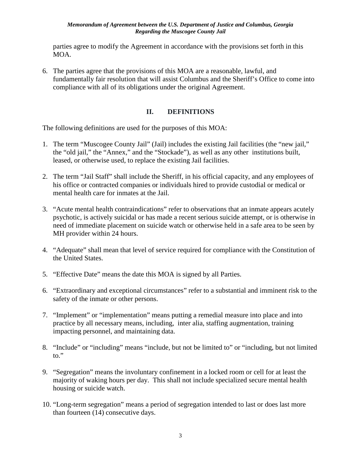parties agree to modify the Agreement in accordance with the provisions set forth in this MOA.

 6. The parties agree that the provisions of this MOA are a reasonable, lawful, and fundamentally fair resolution that will assist Columbus and the Sheriff's Office to come into compliance with all of its obligations under the original Agreement.

# **II. DEFINITIONS**

The following definitions are used for the purposes of this MOA:

- 1. The term "Muscogee County Jail" (Jail) includes the existing Jail facilities (the "new jail," the "old jail," the "Annex," and the "Stockade"), as well as any other institutions built, leased, or otherwise used, to replace the existing Jail facilities.
- his office or contracted companies or individuals hired to provide custodial or medical or 2. The term "Jail Staff" shall include the Sheriff, in his official capacity, and any employees of mental health care for inmates at the Jail.
- 3. "Acute mental health contraindications" refer to observations that an inmate appears acutely psychotic, is actively suicidal or has made a recent serious suicide attempt, or is otherwise in need of immediate placement on suicide watch or otherwise held in a safe area to be seen by MH provider within 24 hours.
- 4. "Adequate" shall mean that level of service required for compliance with the Constitution of the United States.
- 5. "Effective Date" means the date this MOA is signed by all Parties.
- 6. "Extraordinary and exceptional circumstances" refer to a substantial and imminent risk to the safety of the inmate or other persons.
- 7. "Implement" or "implementation" means putting a remedial measure into place and into practice by all necessary means, including, inter alia, staffing augmentation, training impacting personnel, and maintaining data.
- 8. "Include" or "including" means "include, but not be limited to" or "including, but not limited to."
- 9. "Segregation" means the involuntary confinement in a locked room or cell for at least the majority of waking hours per day. This shall not include specialized secure mental health housing or suicide watch.
- 10. "Long-term segregation" means a period of segregation intended to last or does last more than fourteen (14) consecutive days.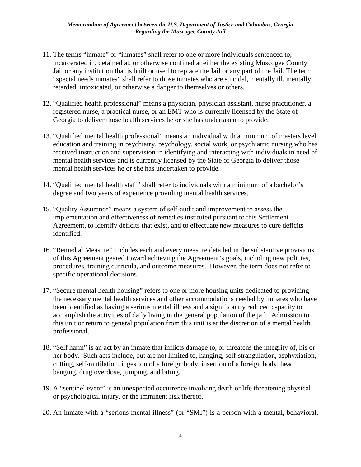- 11. The terms "inmate" or "inmates" shall refer to one or more individuals sentenced to, incarcerated in, detained at, or otherwise confined at either the existing Muscogee County Jail or any institution that is built or used to replace the Jail or any part of the Jail. The term "special needs inmates" shall refer to those inmates who are suicidal, mentally ill, mentally retarded, intoxicated, or otherwise a danger to themselves or others.
- registered nurse, a practical nurse, or an EMT who is currently licensed by the State of 12. "Qualified health professional" means a physician, physician assistant, nurse practitioner, a Georgia to deliver those health services he or she has undertaken to provide.
- 13. "Qualified mental health professional" means an individual with a minimum of masters level education and training in psychiatry, psychology, social work, or psychiatric nursing who has received instruction and supervision in identifying and interacting with individuals in need of mental health services and is currently licensed by the State of Georgia to deliver those mental health services he or she has undertaken to provide.
- degree and two years of experience providing mental health services. 14. "Qualified mental health staff" shall refer to individuals with a minimum of a bachelor's
- 15. "Quality Assurance" means a system of self-audit and improvement to assess the implementation and effectiveness of remedies instituted pursuant to this Settlement Agreement, to identify deficits that exist, and to effectuate new measures to cure deficits identified.
- procedures, training curricula, and outcome measures. However, the term does not refer to 16. "Remedial Measure" includes each and every measure detailed in the substantive provisions of this Agreement geared toward achieving the Agreement's goals, including new policies, specific operational decisions.
- the necessary mental health services and other accommodations needed by inmates who have 17. "Secure mental health housing" refers to one or more housing units dedicated to providing been identified as having a serious mental illness and a significantly reduced capacity to accomplish the activities of daily living in the general population of the jail. Admission to this unit or return to general population from this unit is at the discretion of a mental health professional.
- 18. "Self harm" is an act by an inmate that inflicts damage to, or threatens the integrity of, his or her body. Such acts include, but are not limited to, hanging, self-strangulation, asphyxiation, cutting, self-mutilation, ingestion of a foreign body, insertion of a foreign body, head banging, drug overdose, jumping, and biting.
- 19. A "sentinel event" is an unexpected occurrence involving death or life threatening physical or psychological injury, or the imminent risk thereof.
- 20. An inmate with a "serious mental illness" (or "SMI") is a person with a mental, behavioral,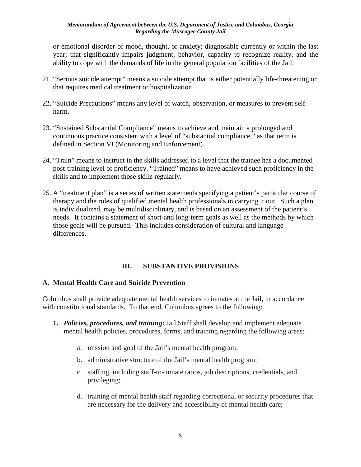or emotional disorder of mood, thought, or anxiety; diagnosable currently or within the last year; that significantly impairs judgment, behavior, capacity to recognize reality, and the ability to cope with the demands of life in the general population facilities of the Jail.

- 21. "Serious suicide attempt" means a suicide attempt that is either potentially life-threatening or that requires medical treatment or hospitalization.
- 22. "Suicide Precautions" means any level of watch, observation, or measures to prevent selfharm.
- 23. "Sustained Substantial Compliance" means to achieve and maintain a prolonged and continuous practice consistent with a level of "substantial compliance," as that term is defined in Section VI (Monitoring and Enforcement).
- 24. "Train" means to instruct in the skills addressed to a level that the trainee has a documented post-training level of proficiency. "Trained" means to have achieved such proficiency in the skills and to implement those skills regularly.
- 25. A "treatment plan" is a series of written statements specifying a patient's particular course of therapy and the roles of qualified mental health professionals in carrying it out. Such a plan is individualized, may be multidisciplinary, and is based on an assessment of the patient's needs. It contains a statement of short-and long-term goals as well as the methods by which those goals will be pursued. This includes consideration of cultural and language differences.

## **III. SUBSTANTIVE PROVISIONS**

## **A. Mental Health Care and Suicide Prevention**

 with constitutional standards. To that end, Columbus agrees to the following: Columbus shall provide adequate mental health services to inmates at the Jail, in accordance

- **1.** *Policies, procedures, and training***:** Jail Staff shall develop and implement adequate mental health policies, procedures, forms, and training regarding the following areas:
	- a. mission and goal of the Jail's mental health program;
	- b. administrative structure of the Jail's mental health program;
	- c. staffing, including staff-to-inmate ratios, job descriptions, credentials, and privileging;
	- d. training of mental health staff regarding correctional or security procedures that are necessary for the delivery and accessibility of mental health care;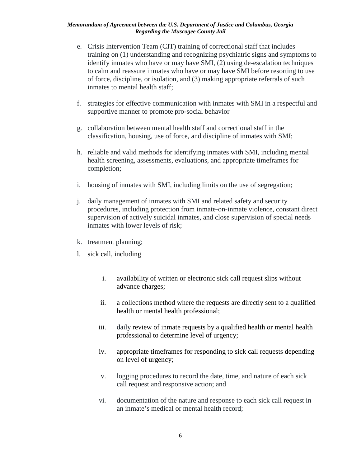- training on (1) understanding and recognizing psychiatric signs and symptoms to identify inmates who have or may have SMI, (2) using de-escalation techniques to calm and reassure inmates who have or may have SMI before resorting to use e. Crisis Intervention Team (CIT) training of correctional staff that includes of force, discipline, or isolation, and (3) making appropriate referrals of such inmates to mental health staff;
- f. strategies for effective communication with inmates with SMI in a respectful and supportive manner to promote pro-social behavior
- classification, housing, use of force, and discipline of inmates with SMI; g. collaboration between mental health staff and correctional staff in the
- h. reliable and valid methods for identifying inmates with SMI, including mental health screening, assessments, evaluations, and appropriate timeframes for completion;
- i. housing of inmates with SMI, including limits on the use of segregation;
- j. daily management of inmates with SMI and related safety and security procedures, including protection from inmate-on-inmate violence, constant direct supervision of actively suicidal inmates, and close supervision of special needs inmates with lower levels of risk;
- k. treatment planning;
- 1. sick call, including
	- i. availability of written or electronic sick call request slips without advance charges;
	- ii. a collections method where the requests are directly sent to a qualified health or mental health professional;
	- professional to determine level of urgency; iii. daily review of inmate requests by a qualified health or mental health
	- professional to determine level of urgency;<br>iv. appropriate timeframes for responding to sick call requests depending on level of urgency;
	- v. logging procedures to record the date, time, and nature of each sick call request and responsive action; and
	- vi. documentation of the nature and response to each sick call request in an inmate's medical or mental health record;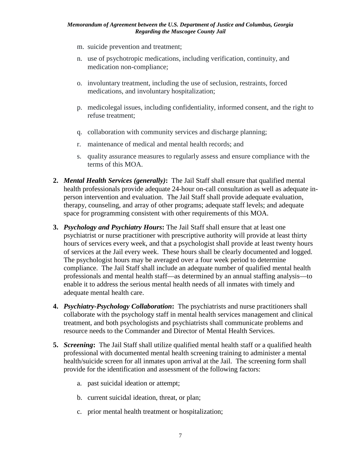- m. suicide prevention and treatment;
- n. use of psychotropic medications, including verification, continuity, and medication non-compliance;
- o. involuntary treatment, including the use of seclusion, restraints, forced medications, and involuntary hospitalization;
- p. medicolegal issues, including confidentiality, informed consent, and the right to refuse treatment;
- q. collaboration with community services and discharge planning;<br>r. maintenance of medical and mental health records; and
- r. maintenance of medical and mental health records; and
- s. quality assurance measures to regularly assess and ensure compliance with the terms of this MOA.
- **2.** *Mental Health Services (generally)***:** The Jail Staff shall ensure that qualified mental person intervention and evaluation. The Jail Staff shall provide adequate evaluation, health professionals provide adequate 24-hour on-call consultation as well as adequate intherapy, counseling, and array of other programs; adequate staff levels; and adequate space for programming consistent with other requirements of this MOA.
- psychiatrist or nurse practitioner with prescriptive authority will provide at least thirty hours of services every week, and that a psychologist shall provide at least twenty hours compliance. The Jail Staff shall include an adequate number of qualified mental health enable it to address the serious mental health needs of all inmates with timely and adequate mental health care. **3.** *Psychology and Psychiatry Hours*: The Jail Staff shall ensure that at least one of services at the Jail every week. These hours shall be clearly documented and logged. The psychologist hours may be averaged over a four week period to determine professionals and mental health staff—as determined by an annual staffing analysis—to
- **4.** *Psychiatry-Psychology Collaboration***:** The psychiatrists and nurse practitioners shall resource needs to the Commander and Director of Mental Health Services. collaborate with the psychology staff in mental health services management and clinical treatment, and both psychologists and psychiatrists shall communicate problems and
- **5.** *Screening***:** The Jail Staff shall utilize qualified mental health staff or a qualified health health/suicide screen for all inmates upon arrival at the Jail. The screening form shall provide for the identification and assessment of the following factors: professional with documented mental health screening training to administer a mental
	- a. past suicidal ideation or attempt;
	- b. current suicidal ideation, threat, or plan;
	- c. prior mental health treatment or hospitalization;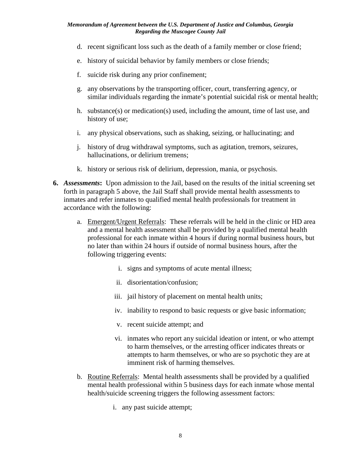- d. recent significant loss such as the death of a family member or close friend;
- e. history of suicidal behavior by family members or close friends;
- f. suicide risk during any prior confinement;
- g. any observations by the transporting officer, court, transferring agency, or similar individuals regarding the inmate's potential suicidal risk or mental health;
- h. substance(s) or medication(s) used, including the amount, time of last use, and history of use;
- i. any physical observations, such as shaking, seizing, or hallucinating; and
- j. history of drug withdrawal symptoms, such as agitation, tremors, seizures, hallucinations, or delirium tremens;
- k. history or serious risk of delirium, depression, mania, or psychosis.
- **6.** *Assessments***:** Upon admission to the Jail, based on the results of the initial screening set forth in paragraph 5 above, the Jail Staff shall provide mental health assessments to inmates and refer inmates to qualified mental health professionals for treatment in accordance with the following:
	- professional for each inmate within 4 hours if during normal business hours, but no later than within 24 hours if outside of normal business hours, after the a. Emergent/Urgent Referrals: These referrals will be held in the clinic or HD area and a mental health assessment shall be provided by a qualified mental health following triggering events:
		- i. signs and symptoms of acute mental illness;
		- ii. disorientation/confusion;
		- iii. jail history of placement on mental health units;
		- iv. inability to respond to basic requests or give basic information;
		- v. recent suicide attempt; and
		- attempts to harm themselves, or who are so psychotic they are at vi. inmates who report any suicidal ideation or intent, or who attempt to harm themselves, or the arresting officer indicates threats or imminent risk of harming themselves.
	- b. Routine Referrals: Mental health assessments shall be provided by a qualified mental health professional within 5 business days for each inmate whose mental health/suicide screening triggers the following assessment factors:
		- i. any past suicide attempt;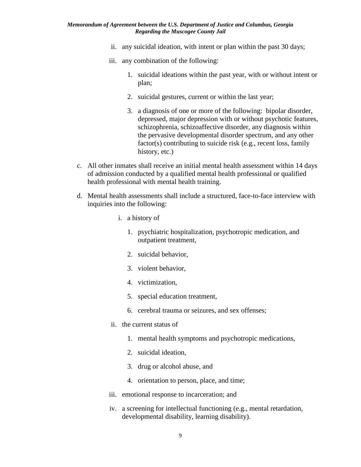- ii. any suicidal ideation, with intent or plan within the past 30 days;
- iii. any combination of the following:
	- 1. suicidal ideations within the past year, with or without intent or plan;
	- 2. suicidal gestures, current or within the last year;
	- 3. a diagnosis of one or more of the following: bipolar disorder, depressed, major depression with or without psychotic features, schizophrenia, schizoaffective disorder, any diagnosis within the pervasive developmental disorder spectrum, and any other factor(s) contributing to suicide risk (e.g., recent loss, family history, etc.)
- health professional with mental health training. c. All other inmates shall receive an initial mental health assessment within 14 days of admission conducted by a qualified mental health professional or qualified
- d. Mental health assessments shall include a structured, face-to-face interview with inquiries into the following:
	- i. a history of
		- 1. psychiatric hospitalization, psychotropic medication, and outpatient treatment,
		- 2. suicidal behavior,
		- 3. violent behavior,
		- 4. victimization,
		- 5. special education treatment,
		- 6. cerebral trauma or seizures, and sex offenses;
	- ii. the current status of
		- 1. mental health symptoms and psychotropic medications,
		- 2. suicidal ideation,
		- 3. drug or alcohol abuse, and
		- 4. orientation to person, place, and time;
	- iii. emotional response to incarceration; and
	- iv. a screening for intellectual functioning (e.g., mental retardation, developmental disability, learning disability).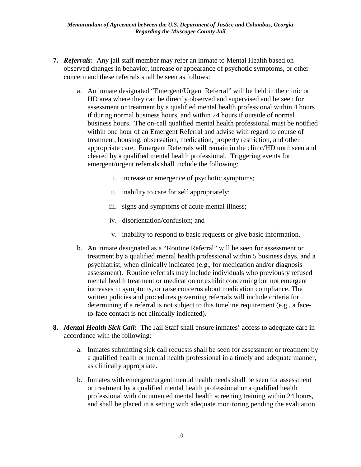- **7.** *Referrals***:** Any jail staff member may refer an inmate to Mental Health based on concern and these referrals shall be seen as follows: observed changes in behavior, increase or appearance of psychotic symptoms, or other
	- concern and these referrals shall be seen as follows:<br>a. An inmate designated "Emergent/Urgent Referral" will be held in the clinic or assessment or treatment by a qualified mental health professional within 4 hours if during normal business hours, and within 24 hours if outside of normal within one hour of an Emergent Referral and advise with regard to course of appropriate care. Emergent Referrals will remain in the clinic/HD until seen and cleared by a qualified mental health professional. Triggering events for HD area where they can be directly observed and supervised and be seen for business hours. The on-call qualified mental health professional must be notified treatment, housing, observation, medication, property restriction, and other emergent/urgent referrals shall include the following:
		- i. increase or emergence of psychotic symptoms;
		- ii. inability to care for self appropriately;
		- iii. signs and symptoms of acute mental illness;<br>iv. disorientation/confusion; and
		- iv. disorientation/confusion; and
		- v. inability to respond to basic requests or give basic information.
		- v. inability to respond to basic requests or give basic information.<br>b. An inmate designated as a "Routine Referral" will be seen for assessment or mental health treatment or medication or exhibit concerning but not emergent treatment by a qualified mental health professional within 5 business days, and a psychiatrist, when clinically indicated (e.g., for medication and/or diagnosis assessment). Routine referrals may include individuals who previously refused increases in symptoms, or raise concerns about medication compliance. The written policies and procedures governing referrals will include criteria for determining if a referral is not subject to this timeline requirement (e.g., a faceto-face contact is not clinically indicated).
- **8.** *Mental Health Sick Call*: The Jail Staff shall ensure inmates' access to adequate care in accordance with the following:
	- a qualified health or mental health professional in a timely and adequate manner, a. Inmates submitting sick call requests shall be seen for assessment or treatment by as clinically appropriate.
	- b. Inmates with emergent/urgent mental health needs shall be seen for assessment or treatment by a qualified mental health professional or a qualified health professional with documented mental health screening training within 24 hours, and shall be placed in a setting with adequate monitoring pending the evaluation.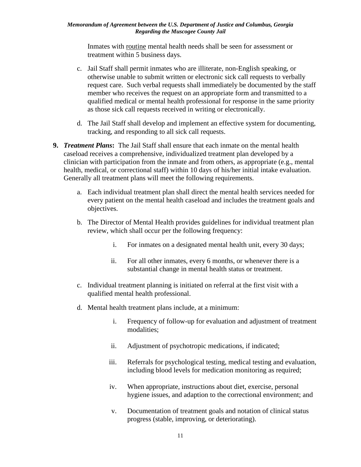treatment within 5 business days. Inmates with routine mental health needs shall be seen for assessment or

- c. Jail Staff shall permit inmates who are illiterate, non-English speaking, or request care. Such verbal requests shall immediately be documented by the staff member who receives the request on an appropriate form and transmitted to a otherwise unable to submit written or electronic sick call requests to verbally qualified medical or mental health professional for response in the same priority as those sick call requests received in writing or electronically.
- tracking, and responding to all sick call requests. d. The Jail Staff shall develop and implement an effective system for documenting,
- **9.** *Treatment Plans***:** The Jail Staff shall ensure that each inmate on the mental health clinician with participation from the inmate and from others, as appropriate (e.g., mental health, medical, or correctional staff) within 10 days of his/her initial intake evaluation. caseload receives a comprehensive, individualized treatment plan developed by a Generally all treatment plans will meet the following requirements.
	- a. Each individual treatment plan shall direct the mental health services needed for every patient on the mental health caseload and includes the treatment goals and objectives.
	- b. The Director of Mental Health provides guidelines for individual treatment plan review, which shall occur per the following frequency:
		- i. For inmates on a designated mental health unit, every 30 days;
		- substantial change in mental health status or treatment. ii. For all other inmates, every 6 months, or whenever there is a
	- c. Individual treatment planning is initiated on referral at the first visit with a qualified mental health professional.
	- d. Mental health treatment plans include, at a minimum:
		- i. Frequency of follow-up for evaluation and adjustment of treatment modalities;
		- ii. Adjustment of psychotropic medications, if indicated;
		- including blood levels for medication monitoring as required; iii. Referrals for psychological testing, medical testing and evaluation,
		- When appropriate, instructions about diet, exercise, personal iv. When appropriate, instructions about diet, exercise, personal hygiene issues, and adaption to the correctional environment; and
		- v. Documentation of treatment goals and notation of clinical status progress (stable, improving, or deteriorating).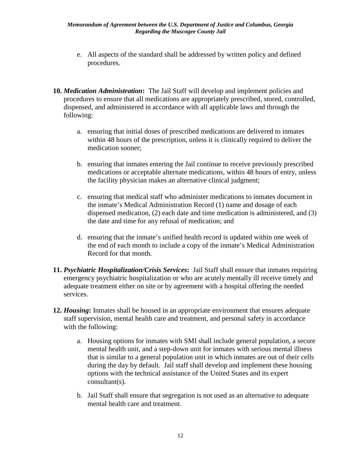- e. All aspects of the standard shall be addressed by written policy and defined procedures.
- **10.** *Medication Administration***:** The Jail Staff will develop and implement policies and procedures to ensure that all medications are appropriately prescribed, stored, controlled, dispensed, and administered in accordance with all applicable laws and through the following:
	- a. ensuring that initial doses of prescribed medications are delivered to inmates within 48 hours of the prescription, unless it is clinically required to deliver the medication sooner;
	- b. ensuring that inmates entering the Jail continue to receive previously prescribed medications or acceptable alternate medications, within 48 hours of entry, unless the facility physician makes an alternative clinical judgment;
	- c. ensuring that medical staff who administer medications to inmates document in the inmate's Medical Administration Record (1) name and dosage of each dispensed medication, (2) each date and time medication is administered, and (3) the date and time for any refusal of medication; and
	- d. ensuring that the inmate's unified health record is updated within one week of the end of each month to include a copy of the inmate's Medical Administration Record for that month.
- **11.** *Psychiatric Hospitalization/Crisis Services***:** Jail Staff shall ensure that inmates requiring emergency psychiatric hospitalization or who are acutely mentally ill receive timely and adequate treatment either on site or by agreement with a hospital offering the needed services.
- **12.** *Housing***:** Inmates shall be housed in an appropriate environment that ensures adequate staff supervision, mental health care and treatment, and personal safety in accordance with the following:
	- a. Housing options for inmates with SMI shall include general population, a secure during the day by default. Jail staff shall develop and implement these housing mental health unit, and a step-down unit for inmates with serious mental illness that is similar to a general population unit in which inmates are out of their cells options with the technical assistance of the United States and its expert consultant(s).
	- b. Jail Staff shall ensure that segregation is not used as an alternative to adequate mental health care and treatment.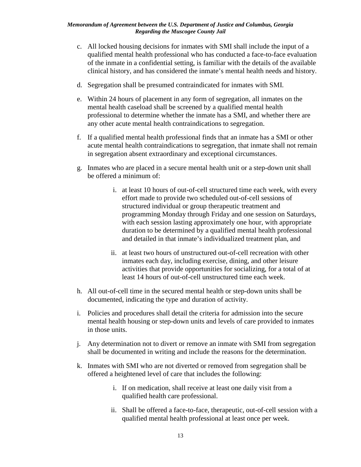- c. All locked housing decisions for inmates with SMI shall include the input of a qualified mental health professional who has conducted a face-to-face evaluation of the inmate in a confidential setting, is familiar with the details of the available clinical history, and has considered the inmate's mental health needs and history.
- d. Segregation shall be presumed contraindicated for inmates with SMI.
- e. Within 24 hours of placement in any form of segregation, all inmates on the mental health caseload shall be screened by a qualified mental health professional to determine whether the inmate has a SMI, and whether there are any other acute mental health contraindications to segregation.
- f. If a qualified mental health professional finds that an inmate has a SMI or other acute mental health contraindications to segregation, that inmate shall not remain in segregation absent extraordinary and exceptional circumstances.
- be offered a minimum of: g. Inmates who are placed in a secure mental health unit or a step-down unit shall
	- i. at least 10 hours of out-of-cell structured time each week, with every effort made to provide two scheduled out-of-cell sessions of structured individual or group therapeutic treatment and programming Monday through Friday and one session on Saturdays, with each session lasting approximately one hour, with appropriate duration to be determined by a qualified mental health professional and detailed in that inmate's individualized treatment plan, and
	- ii. at least two hours of unstructured out-of-cell recreation with other inmates each day, including exercise, dining, and other leisure activities that provide opportunities for socializing, for a total of at least 14 hours of out-of-cell unstructured time each week.
- h. All out-of-cell time in the secured mental health or step-down units shall be documented, indicating the type and duration of activity.
- i. Policies and procedures shall detail the criteria for admission into the secure mental health housing or step-down units and levels of care provided to inmates in those units.
- j. Any determination not to divert or remove an inmate with SMI from segregation shall be documented in writing and include the reasons for the determination.
- k. Inmates with SMI who are not diverted or removed from segregation shall be offered a heightened level of care that includes the following:
	- qualified health care professional. i. If on medication, shall receive at least one daily visit from a
	- ii. Shall be offered a face-to-face, therapeutic, out-of-cell session with a qualified mental health professional at least once per week.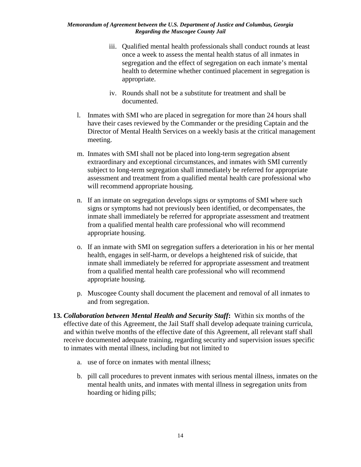- health to determine whether continued placement in segregation is iii. Oualified mental health professionals shall conduct rounds at least once a week to assess the mental health status of all inmates in segregation and the effect of segregation on each inmate's mental appropriate.
- iv. Rounds shall not be a substitute for treatment and shall be documented.
- l. Inmates with SMI who are placed in segregation for more than 24 hours shall have their cases reviewed by the Commander or the presiding Captain and the Director of Mental Health Services on a weekly basis at the critical management meeting.
- subject to long-term segregation shall immediately be referred for appropriate assessment and treatment from a qualified mental health care professional who m. Inmates with SMI shall not be placed into long-term segregation absent extraordinary and exceptional circumstances, and inmates with SMI currently will recommend appropriate housing.
- n. If an inmate on segregation develops signs or symptoms of SMI where such inmate shall immediately be referred for appropriate assessment and treatment from a qualified mental health care professional who will recommend signs or symptoms had not previously been identified, or decompensates, the appropriate housing.
- o. If an inmate with SMI on segregation suffers a deterioration in his or her mental health, engages in self-harm, or develops a heightened risk of suicide, that inmate shall immediately be referred for appropriate assessment and treatment from a qualified mental health care professional who will recommend appropriate housing.
- and from segregation. p. Muscogee County shall document the placement and removal of all inmates to
- effective date of this Agreement, the Jail Staff shall develop adequate training curricula, **13.** *Collaboration between Mental Health and Security Staff***:** Within six months of the and within twelve months of the effective date of this Agreement, all relevant staff shall receive documented adequate training, regarding security and supervision issues specific to inmates with mental illness, including but not limited to
	- a. use of force on inmates with mental illness;
	- b. pill call procedures to prevent inmates with serious mental illness, inmates on the hoarding or hiding pills; mental health units, and inmates with mental illness in segregation units from hoarding or hiding pills;<br>  $\label{eq:14} 14$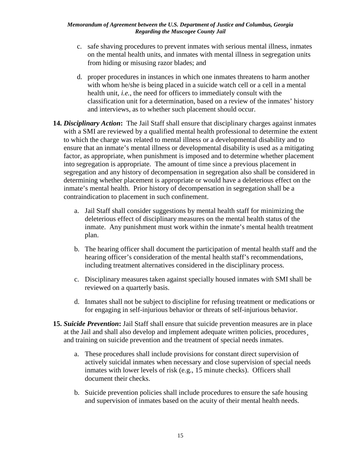- c. safe shaving procedures to prevent inmates with serious mental illness, inmates on the mental health units, and inmates with mental illness in segregation units from hiding or misusing razor blades; and
- d. proper procedures in instances in which one inmates threatens to harm another classification unit for a determination, based on a review of the inmates' history with whom he/she is being placed in a suicide watch cell or a cell in a mental health unit, *i.e.*, the need for officers to immediately consult with the and interviews, as to whether such placement should occur.
- **14.** *Disciplinary Action***:** The Jail Staff shall ensure that disciplinary charges against inmates inmate's mental health. Prior history of decompensation in segregation shall be a with a SMI are reviewed by a qualified mental health professional to determine the extent to which the charge was related to mental illness or a developmental disability and to ensure that an inmate's mental illness or developmental disability is used as a mitigating factor, as appropriate, when punishment is imposed and to determine whether placement into segregation is appropriate. The amount of time since a previous placement in segregation and any history of decompensation in segregation also shall be considered in determining whether placement is appropriate or would have a deleterious effect on the contraindication to placement in such confinement.
	- a. Jail Staff shall consider suggestions by mental health staff for minimizing the deleterious effect of disciplinary measures on the mental health status of the inmate. Any punishment must work within the inmate's mental health treatment plan.
	- b. The hearing officer shall document the participation of mental health staff and the hearing officer's consideration of the mental health staff's recommendations, including treatment alternatives considered in the disciplinary process.
	- c. Disciplinary measures taken against specially housed inmates with SMI shall be reviewed on a quarterly basis.
	- d. Inmates shall not be subject to discipline for refusing treatment or medications or for engaging in self-injurious behavior or threats of self-injurious behavior.
- **15.** *Suicide Prevention***:** Jail Staff shall ensure that suicide prevention measures are in place and training on suicide prevention and the treatment of special needs inmates. at the Jail and shall also develop and implement adequate written policies, procedures¸
	- a. These procedures shall include provisions for constant direct supervision of actively suicidal inmates when necessary and close supervision of special needs inmates with lower levels of risk (e.g., 15 minute checks). Officers shall document their checks.
	- and supervision of inmates based on the acuity of their mental health needs. b. Suicide prevention policies shall include procedures to ensure the safe housing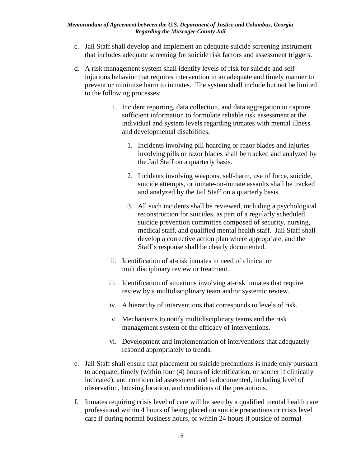- c. Jail Staff shall develop and implement an adequate suicide screening instrument that includes adequate screening for suicide risk factors and assessment triggers.
- to the following processes: d. A risk management system shall identify levels of risk for suicide and selfinjurious behavior that requires intervention in an adequate and timely manner to prevent or minimize harm to inmates. The system shall include but not be limited
	- i. Incident reporting, data collection, and data aggregation to capture sufficient information to formulate reliable risk assessment at the individual and system levels regarding inmates with mental illness and developmental disabilities.
		- 1. Incidents involving pill hoarding or razor blades and injuries involving pills or razor blades shall be tracked and analyzed by the Jail Staff on a quarterly basis.
		- 2. Incidents involving weapons, self-harm, use of force, suicide, suicide attempts, or inmate-on-inmate assaults shall be tracked and analyzed by the Jail Staff on a quarterly basis.
		- medical staff, and qualified mental health staff. Jail Staff shall 3. All such incidents shall be reviewed, including a psychological reconstruction for suicides, as part of a regularly scheduled suicide prevention committee composed of security, nursing, develop a corrective action plan where appropriate, and the Staff's response shall be clearly documented.
	- ii. Identification of at-risk inmates in need of clinical or multidisciplinary review or treatment.
	- iii. Identification of situations involving at-risk inmates that require review by a multidisciplinary team and/or systemic review.
	- iv. A hierarchy of interventions that corresponds to levels of risk.
	- v. Mechanisms to notify multidisciplinary teams and the risk management system of the efficacy of interventions.
	- vi. Development and implementation of interventions that adequately respond appropriately to trends.
- to adequate, timely (within four (4) hours of identification, or sooner if clinically e. Jail Staff shall ensure that placement on suicide precautions is made only pursuant indicated), and confidential assessment and is documented, including level of observation, housing location, and conditions of the precautions.
- care if during normal business hours, or within 24 hours if outside of normal f. Inmates requiring crisis level of care will be seen by a qualified mental health care professional within 4 hours of being placed on suicide precautions or crisis level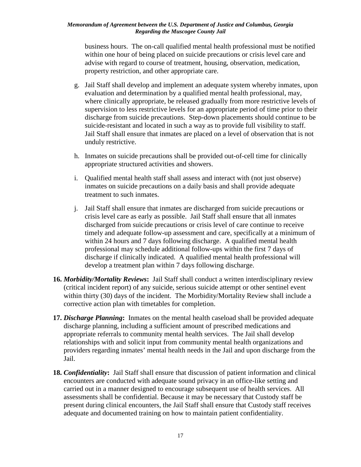business hours. The on-call qualified mental health professional must be notified within one hour of being placed on suicide precautions or crisis level care and advise with regard to course of treatment, housing, observation, medication, property restriction, and other appropriate care.

- g. Jail Staff shall develop and implement an adequate system whereby inmates, upon Jail Staff shall ensure that inmates are placed on a level of observation that is not evaluation and determination by a qualified mental health professional, may, where clinically appropriate, be released gradually from more restrictive levels of supervision to less restrictive levels for an appropriate period of time prior to their discharge from suicide precautions. Step-down placements should continue to be suicide-resistant and located in such a way as to provide full visibility to staff. unduly restrictive.
- h. Inmates on suicide precautions shall be provided out-of-cell time for clinically appropriate structured activities and showers.
- inmates on suicide precautions on a daily basis and shall provide adequate i. Qualified mental health staff shall assess and interact with (not just observe) treatment to such inmates.
- j. Jail Staff shall ensure that inmates are discharged from suicide precautions or crisis level care as early as possible. Jail Staff shall ensure that all inmates timely and adequate follow-up assessment and care, specifically at a minimum of within 24 hours and 7 days following discharge. A qualified mental health discharge if clinically indicated. A qualified mental health professional will develop a treatment plan within 7 days following discharge. discharged from suicide precautions or crisis level of care continue to receive professional may schedule additional follow-ups within the first 7 days of
- **16.** *Morbidity/Mortality Reviews***:** Jail Staff shall conduct a written interdisciplinary review within thirty (30) days of the incident. The Morbidity/Mortality Review shall include a (critical incident report) of any suicide, serious suicide attempt or other sentinel event corrective action plan with timetables for completion.
- providers regarding inmates' mental health needs in the Jail and upon discharge from the **17.** *Discharge Planning***:** Inmates on the mental health caseload shall be provided adequate discharge planning, including a sufficient amount of prescribed medications and appropriate referrals to community mental health services. The Jail shall develop relationships with and solicit input from community mental health organizations and Jail.
- **18.** *Confidentiality***:** Jail Staff shall ensure that discussion of patient information and clinical encounters are conducted with adequate sound privacy in an office-like setting and carried out in a manner designed to encourage subsequent use of health services. All assessments shall be confidential. Because it may be necessary that Custody staff be present during clinical encounters, the Jail Staff shall ensure that Custody staff receives adequate and documented training on how to maintain patient confidentiality.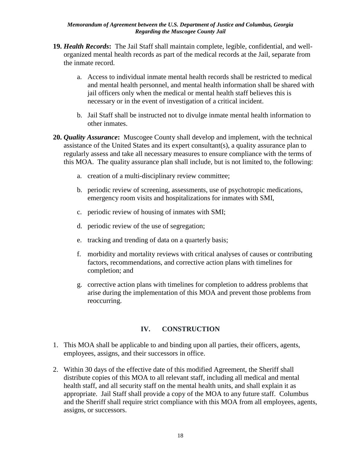- **19.** *Health Records***:** The Jail Staff shall maintain complete, legible, confidential, and wellorganized mental health records as part of the medical records at the Jail, separate from the inmate record.
	- a. Access to individual inmate mental health records shall be restricted to medical and mental health personnel, and mental health information shall be shared with jail officers only when the medical or mental health staff believes this is necessary or in the event of investigation of a critical incident.
	- b. Jail Staff shall be instructed not to divulge inmate mental health information to other inmates.
- **20.** *Quality Assurance***:** Muscogee County shall develop and implement, with the technical assistance of the United States and its expert consultant(s), a quality assurance plan to regularly assess and take all necessary measures to ensure compliance with the terms of this MOA. The quality assurance plan shall include, but is not limited to, the following:
	- a. creation of a multi-disciplinary review committee;
	- emergency room visits and hospitalizations for inmates with SMI, b. periodic review of screening, assessments, use of psychotropic medications,
	- c. periodic review of housing of inmates with SMI;
	- d. periodic review of the use of segregation;
	- e. tracking and trending of data on a quarterly basis;
	- completion; and f. morbidity and mortality reviews with critical analyses of causes or contributing factors, recommendations, and corrective action plans with timelines for
	- g. corrective action plans with timelines for completion to address problems that arise during the implementation of this MOA and prevent those problems from reoccurring.

### **IV. CONSTRUCTION**

- 1. This MOA shall be applicable to and binding upon all parties, their officers, agents, employees, assigns, and their successors in office.
- distribute copies of this MOA to all relevant staff, including all medical and mental appropriate. Jail Staff shall provide a copy of the MOA to any future staff. Columbus 2. Within 30 days of the effective date of this modified Agreement, the Sheriff shall health staff, and all security staff on the mental health units, and shall explain it as and the Sheriff shall require strict compliance with this MOA from all employees, agents, assigns, or successors.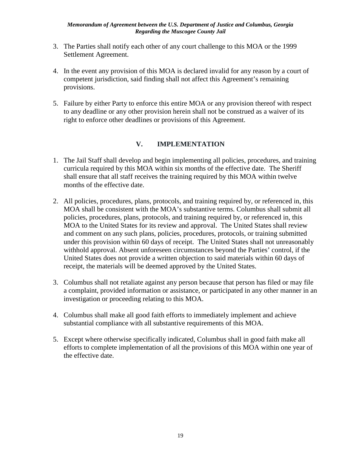- 3. The Parties shall notify each other of any court challenge to this MOA or the 1999 Settlement Agreement.
- 4. In the event any provision of this MOA is declared invalid for any reason by a court of competent jurisdiction, said finding shall not affect this Agreement's remaining provisions.
- 5. Failure by either Party to enforce this entire MOA or any provision thereof with respect to any deadline or any other provision herein shall not be construed as a waiver of its right to enforce other deadlines or provisions of this Agreement.

# **V. IMPLEMENTATION**

- 1. The Jail Staff shall develop and begin implementing all policies, procedures, and training curricula required by this MOA within six months of the effective date. The Sheriff shall ensure that all staff receives the training required by this MOA within twelve months of the effective date.
- MOA to the United States for its review and approval. The United States shall review receipt, the materials will be deemed approved by the United States. 2. All policies, procedures, plans, protocols, and training required by, or referenced in, this MOA shall be consistent with the MOA's substantive terms. Columbus shall submit all policies, procedures, plans, protocols, and training required by, or referenced in, this and comment on any such plans, policies, procedures, protocols, or training submitted under this provision within 60 days of receipt. The United States shall not unreasonably withhold approval. Absent unforeseen circumstances beyond the Parties' control, if the United States does not provide a written objection to said materials within 60 days of
- 3. Columbus shall not retaliate against any person because that person has filed or may file investigation or proceeding relating to this MOA. a complaint, provided information or assistance, or participated in any other manner in an
- substantial compliance with all substantive requirements of this MOA. 4. Columbus shall make all good faith efforts to immediately implement and achieve
- efforts to complete implementation of all the provisions of this MOA within one year of 5. Except where otherwise specifically indicated, Columbus shall in good faith make all the effective date.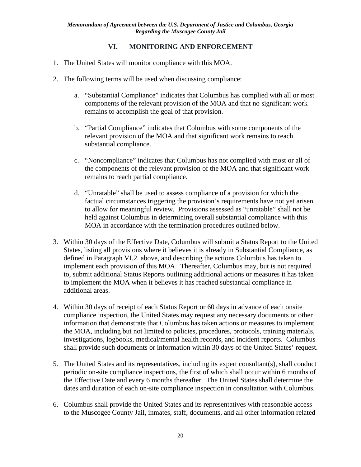# **VI. MONITORING AND ENFORCEMENT**

- 1. The United States will monitor compliance with this MOA.
- 2. The following terms will be used when discussing compliance:
	- a. "Substantial Compliance" indicates that Columbus has complied with all or most components of the relevant provision of the MOA and that no significant work remains to accomplish the goal of that provision.
	- b. "Partial Compliance" indicates that Columbus with some components of the relevant provision of the MOA and that significant work remains to reach substantial compliance.
	- c. "Noncompliance" indicates that Columbus has not complied with most or all of the components of the relevant provision of the MOA and that significant work remains to reach partial compliance.
	- to allow for meaningful review. Provisions assessed as "unratable" shall not be held against Columbus in determining overall substantial compliance with this d. "Unratable" shall be used to assess compliance of a provision for which the factual circumstances triggering the provision's requirements have not yet arisen MOA in accordance with the termination procedures outlined below.
- 3. Within 30 days of the Effective Date, Columbus will submit a Status Report to the United States, listing all provisions where it believes it is already in Substantial Compliance, as defined in Paragraph VI.2. above, and describing the actions Columbus has taken to implement each provision of this MOA. Thereafter, Columbus may, but is not required to, submit additional Status Reports outlining additional actions or measures it has taken to implement the MOA when it believes it has reached substantial compliance in additional areas.
- 4. Within 30 days of receipt of each Status Report or 60 days in advance of each onsite investigations, logbooks, medical/mental health records, and incident reports. Columbus shall provide such documents or information within 30 days of the United States' request. compliance inspection, the United States may request any necessary documents or other information that demonstrate that Columbus has taken actions or measures to implement the MOA, including but not limited to policies, procedures, protocols, training materials,
- shall provide such documents or information within 30 days of the United States' request.<br>5. The United States and its representatives, including its expert consultant(s), shall conduct the Effective Date and every 6 months thereafter. The United States shall determine the dates and duration of each on-site compliance inspection in consultation with Columbus. periodic on-site compliance inspections, the first of which shall occur within 6 months of
- 6. Columbus shall provide the United States and its representatives with reasonable access to the Muscogee County Jail, inmates, staff, documents, and all other information related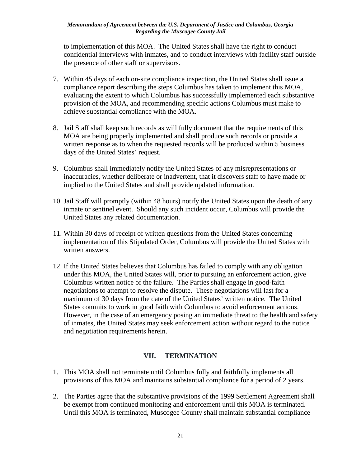confidential interviews with inmates, and to conduct interviews with facility staff outside to implementation of this MOA. The United States shall have the right to conduct the presence of other staff or supervisors.

- compliance report describing the steps Columbus has taken to implement this MOA, provision of the MOA, and recommending specific actions Columbus must make to achieve substantial compliance with the MOA. 7. Within 45 days of each on-site compliance inspection, the United States shall issue a evaluating the extent to which Columbus has successfully implemented each substantive
- MOA are being properly implemented and shall produce such records or provide a 8. Jail Staff shall keep such records as will fully document that the requirements of this written response as to when the requested records will be produced within 5 business days of the United States' request.
- 9. Columbus shall immediately notify the United States of any misrepresentations or inaccuracies, whether deliberate or inadvertent, that it discovers staff to have made or implied to the United States and shall provide updated information.
- 10. Jail Staff will promptly (within 48 hours) notify the United States upon the death of any inmate or sentinel event. Should any such incident occur, Columbus will provide the United States any related documentation.
- 11. Within 30 days of receipt of written questions from the United States concerning implementation of this Stipulated Order, Columbus will provide the United States with written answers.
- 12. If the United States believes that Columbus has failed to comply with any obligation Columbus written notice of the failure. The Parties shall engage in good-faith under this MOA, the United States will, prior to pursuing an enforcement action, give negotiations to attempt to resolve the dispute. These negotiations will last for a maximum of 30 days from the date of the United States' written notice. The United States commits to work in good faith with Columbus to avoid enforcement actions. However, in the case of an emergency posing an immediate threat to the health and safety of inmates, the United States may seek enforcement action without regard to the notice and negotiation requirements herein.

## **VII. TERMINATION**

- provisions of this MOA and maintains substantial compliance for a period of 2 years. 1. This MOA shall not terminate until Columbus fully and faithfully implements all
- 2. The Parties agree that the substantive provisions of the 1999 Settlement Agreement shall be exempt from continued monitoring and enforcement until this MOA is terminated. Until this MOA is terminated, Muscogee County shall maintain substantial compliance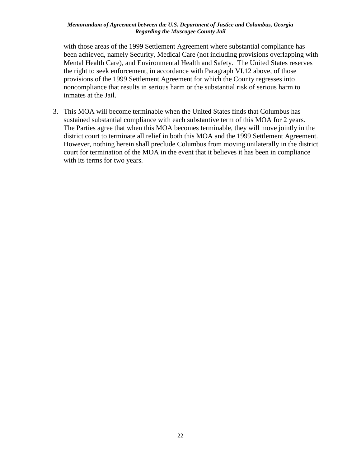Mental Health Care), and Environmental Health and Safety. The United States reserves with those areas of the 1999 Settlement Agreement where substantial compliance has been achieved, namely Security, Medical Care (not including provisions overlapping with the right to seek enforcement, in accordance with Paragraph VI.12 above, of those provisions of the 1999 Settlement Agreement for which the County regresses into noncompliance that results in serious harm or the substantial risk of serious harm to inmates at the Jail.

 sustained substantial compliance with each substantive term of this MOA for 2 years. court for termination of the MOA in the event that it believes it has been in compliance 3. This MOA will become terminable when the United States finds that Columbus has The Parties agree that when this MOA becomes terminable, they will move jointly in the district court to terminate all relief in both this MOA and the 1999 Settlement Agreement. However, nothing herein shall preclude Columbus from moving unilaterally in the district with its terms for two years.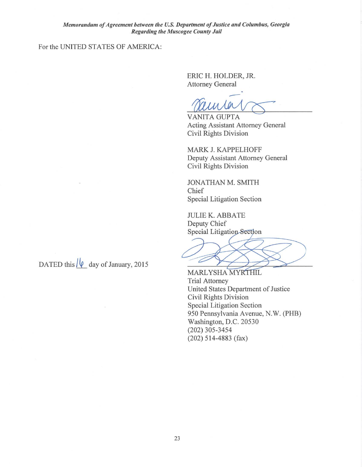### For the UNITED STATES OF AMERICA:

ERIC H. HOLDER, JR. Attorney General

111 Ler

**VANITA GUPTA** Acting Assistant Attorney General Civil Rights Division

MARK J. KAPPELHOFF Deputy Assistant Attorney General Civil Rights Division

JONATHAN M. SMITH Chief Special Litigation Section

JULIE K. ABBATE Deputy Chief Special Litigation Section

 $\overline{\phantom{0}}$ 

MARLYSHA MYRTHIL Trial Attorney United States Department of Justice Civil Rights Division Special Litigation Section 950 Pennsylvania Avenue, N.W. (PHB) Washington, D.C. 20530 (202) 305-3454 (202) 514-4883 (fax)

DATED this  $\sqrt{\ell}$  day of January, 2015